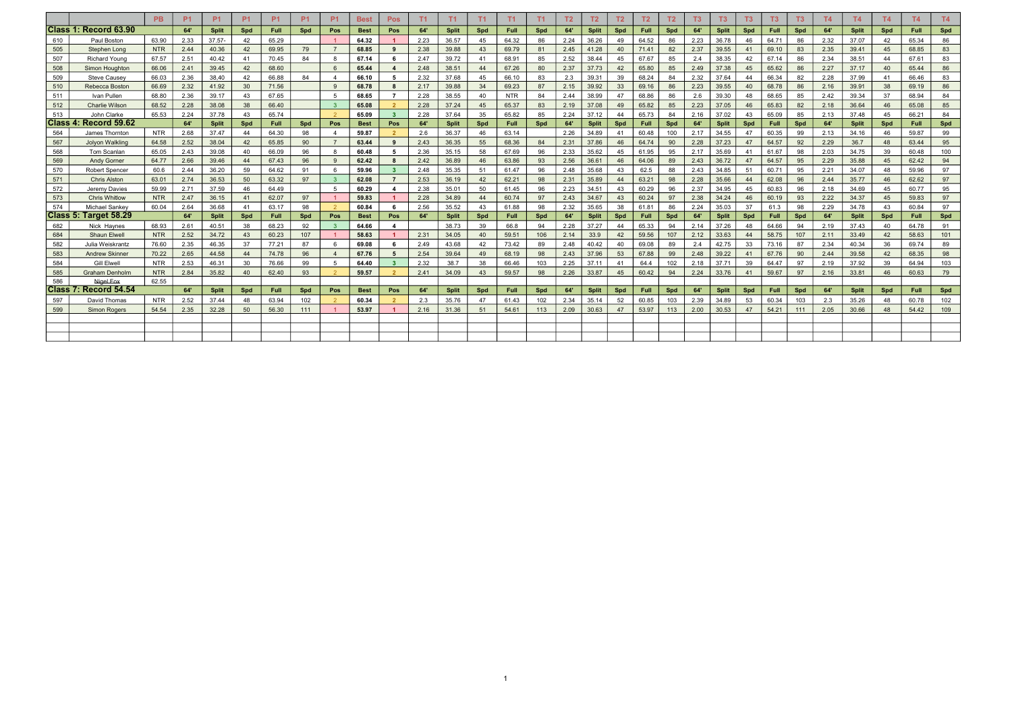|     |                              | <b>PB</b>  | P <sub>1</sub> | <b>P1</b>    | <b>P1</b> | <b>P1</b>   | <b>P1</b> | P <sub>1</sub> | <b>Best</b> | <b>Pos</b>               | T1   | T1           | T1  | T1          | T1  | T <sub>2</sub> | T2           | T <sub>2</sub> | T2          | T2  | T <sub>3</sub> | T <sub>3</sub> | T3  | T <sub>3</sub> | T <sub>3</sub> | <b>T4</b> | <b>T4</b>    | T4  | <b>T4</b>   | T4  |
|-----|------------------------------|------------|----------------|--------------|-----------|-------------|-----------|----------------|-------------|--------------------------|------|--------------|-----|-------------|-----|----------------|--------------|----------------|-------------|-----|----------------|----------------|-----|----------------|----------------|-----------|--------------|-----|-------------|-----|
|     | Class 1: Record 63.90        |            | 64'            | <b>Split</b> | Spd       | <b>Full</b> | Spd       | Pos            | <b>Best</b> | Pos                      | 64'  | <b>Split</b> | Spd | <b>Full</b> | Spd | 64             | <b>Split</b> | Spd            | <b>Full</b> | Spd | 64'            | <b>Split</b>   | Spd | Full           | Spd            | 64'       | <b>Split</b> | Spd | <b>Full</b> | Spd |
| 610 | Paul Boston                  | 63.90      | 2.33           | $37.57 -$    | 42        | 65.29       |           |                | 64.32       |                          | 2.23 | 36.57        | 45  | 64.32       | 86  | 2.24           | 36.26        | 49             | 64.52       | 86  | 2.23           | 36.78          | 46  | 64.71          | 86             | 2.32      | 37.07        | 42  | 65.34       | 86  |
| 505 | Stephen Long                 | <b>NTR</b> | 2.44           | 40.36        | 42        | 69.95       | 79        |                | 68.85       | -9                       | 2.38 | 39.88        | 43  | 69.79       | 81  | 2.45           | 41.28        | 40             | 71.41       | 82  | 2.37           | 39.55          | 41  | 69.10          | 83             | 2.35      | 39.41        | 45  | 68.85       | 83  |
| 507 | <b>Richard Yound</b>         | 67.57      | 2.51           | 40.42        | 41        | 70.45       | 84        |                | 67.14       | - 6                      | 2.47 | 39.72        | 41  | 68.91       | 85  | 2.52           | 38.44        | 45             | 67.67       | 85  | 2.4            | 38.35          | 42  | 67.14          | 86             | 2.34      | 38.51        | 44  | 67.61       | 83  |
| 508 | Simon Houahton               | 66.06      | 2.41           | 39.45        | 42        | 68.60       |           |                | 65.44       |                          | 2.48 | 38.51        | 44  | 67.26       | 80  | 2.37           | 37.73        | 42             | 65.80       | 85  | 2.49           | 37.38          | 45  | 65.62          | 86             | 2.27      | 37.17        | 40  | 65.44       | 86  |
| 509 | <b>Steve Causey</b>          | 66.03      | 2.36           | 38,40        | 42        | 66.88       | 84        |                | 66.10       | - 5                      | 2.32 | 37.68        | 45  | 66.10       | 83  | 2.3            | 39.31        | 39             | 68.24       | 84  | 2.32           | 37.64          | 44  | 66.34          | 82             | 2.28      | 37.99        | -41 | 66.46       | 83  |
| 510 | Rebecca Boston               | 66.69      | 2.32           | 41.92        | 30        | 71.56       |           | $\alpha$       | 68.78       | - 8                      | 2.17 | 39.88        | -34 | 69.23       | 87  | 2.15           | 39.92        | 33             | 69.16       | 86  | 2.23           | 39.55          | 40  | 68.78          | 86             | 2.16      | 39.91        | 38  | 69.19       | 86  |
| 511 | Ivan Pullen                  | 68.80      | 2.36           | 39.17        | 43        | 67.65       |           | - 5            | 68.65       | $\overline{7}$           | 2.28 | 38.55        | 40  | <b>NTR</b>  | 84  | 2.44           | 38.99        | 47             | 68.86       | 86  | 2.6            | 39.30          | 48  | 68.65          | 85             | 2.42      | 39.34        | -37 | 68.94       | 84  |
| 512 | Charlie Wilson               | 68.52      | 2.28           | 38.08        | 38        | 66.40       |           |                | 65.08       | $\overline{\phantom{0}}$ | 2.28 | 37.24        | 45  | 65.37       | 83  | 2.19           | 37.08        | 49             | 65.82       | 85  | 2.23           | 37.05          | 46  | 65.83          | 82             | 2.18      | 36.64        | 46  | 65.08       | 85  |
| 513 | John Clarke                  | 65.53      | 2.24           | 37.78        | 43        | 65.74       |           |                | 65.09       | $\overline{\mathbf{3}}$  | 2.28 | 37.64        | 35  | 65.82       | 85  | 2.24           | 37.12        | 44             | 65.73       | 84  | 2.16           | 37.02          | 43  | 65.09          | 85             | 2.13      | 37.48        | 45  | 66.21       | 84  |
|     | Class 4: Record 59.62        |            | 64             | <b>Split</b> | Spd       | <b>Full</b> | Spd       | Pos            | <b>Best</b> | Pos                      | 64'  | <b>Split</b> | Spd | Full        | Spd | 64'            | <b>Split</b> | Spd            | <b>Full</b> | Spd | 64'            | <b>Split</b>   | Spd | Full           | Spd            | 64'       | <b>Split</b> | Spd | Full        | Spd |
| 564 | James Thornton               | <b>NTR</b> | 2.68           | 37.47        | 44        | 64.30       | 98        |                | 59.87       | $\overline{2}$           | 2.6  | 36.37        | 46  | 63.14       |     | 2.26           | 34.89        | 41             | 60.48       | 100 | 2.17           | 34.55          | 47  | 60.35          | 99             | 2.13      | 34.16        | 46  | 59.87       | 99  |
| 567 | <b>Jolvon Walkling</b>       | 64.58      | 2.52           | 38.04        | 42        | 65.85       | 90        |                | 63.44       | 9                        | 2.43 | 36.35        | 55  | 68.36       | 84  | 2.31           | 37.86        | 46             | 64.74       | 90  | 2.28           | 37.23          | 47  | 64.57          | 92             | 2.29      | 36.7         | 48  | 63.44       | 95  |
| 568 | Tom Scanlan                  | 65.05      | 2.43           | 39.08        | 40        | 66.09       | 96        | -8             | 60.48       | - 5                      | 2.36 | 35.15        | 58  | 67.69       | 96  | 2.33           | 35.62        | 45             | 61.95       | 95  | 2.17           | 35.69          | 41  | 61.67          | 98             | 2.03      | 34.75        | 39  | 60.48       | 100 |
| 569 | <b>Andy Gorner</b>           | 64.77      | 2.66           | 39.46        | 44        | 67.43       | 96        |                | 62.42       | - 8                      | 2.42 | 36.89        | 46  | 63.86       | 93  | 2.56           | 36.61        | 46             | 64.06       | 89  | 2.43           | 36.72          | 47  | 64.57          | 95             | 2.29      | 35.88        | 45  | 62.42       | 94  |
| 570 | <b>Robert Spencer</b>        | 60.6       | 2.44           | 36.20        | 59        | 64.62       | 91        | -6             | 59.96       | $_{3}$                   | 2.48 | 35.35        | 51  | 61.47       | 96  | 2.48           | 35.68        | 43             | 62.5        | 88  | 2.43           | 34.85          | 51  | 60.71          | 95             | 2.21      | 34.07        | 48  | 59.96       | 97  |
| 571 | <b>Chris Alston</b>          | 63.01      | 2.74           | 36.53        | 50        | 63.32       | 97        |                | 62.08       | $\overline{7}$           | 2.53 | 36.19        | 42  | 62.21       | 98  | 2.31           | 35.89        | 44             | 63.21       | 98  | 2.28           | 35.66          | 44  | 62.08          | 96             | 2.44      | 35.77        | 46  | 62.62       | 97  |
| 572 | Jeremy Davies                | 59.99      | 2.71           | 37.59        | 46        | 64.49       |           | - 5            | 60.29       | - 4                      | 2.38 | 35.01        | 50  | 61.45       | 96  | 2.23           | 34.51        | 43             | 60.29       | 96  | 2.37           | 34.95          | 45  | 60.83          | 96             | 2.18      | 34.69        | 45  | 60.77       | 95  |
| 573 | <b>Chris Whitlow</b>         | <b>NTR</b> | 2.47           | 36.15        | 41        | 62.07       | 97        |                | 59.83       |                          | 2.28 | 34.89        | 44  | 60.74       | 97  | 2.43           | 34.67        | 43             | 60.24       | 97  | 2.38           | 34.24          | 46  | 60.19          | 93             | 2.22      | 34.37        | 45  | 59.83       | 97  |
| 574 | Michael Sankey               | 60.04      | 2.64           | 36.68        | 41        | 63.17       | 98        |                | 60.84       | - 6                      | 2.56 | 35.52        | -43 | 61.88       | 98  | 2.32           | 35.65        | 38             | 61.81       | 86  | 2.24           | 35.03          | 37  | 61.3           | 98             | 2.29      | 34.78        | 43  | 60.84       | 97  |
|     | Class 5: Target 58.29        |            | 64'            | <b>Split</b> | Spd       | <b>Full</b> | Spd       | Pos            | <b>Best</b> | Pos                      | 64'  | <b>Split</b> | Spd | Full        | Spd | 64'            | <b>Split</b> | Spd            | Full        | Spd | 64'            | <b>Split</b>   | Spd | Full           | Spd            | 64'       | <b>Split</b> | Spd | <b>Full</b> | Spd |
| 682 | Nick Havnes                  | 68.93      | 2.61           | 40.51        | 38        | 68.23       | 92        |                | 64.66       | $\overline{\mathbf{A}}$  |      | 38.73        | 39  | 66.8        | 94  | 2.28           | 37.27        | 44             | 65.33       | 94  | 2.14           | 37.26          | 48  | 64.66          | 94             | 2.19      | 37.43        | 40  | 64.78       | 91  |
| 684 | <b>Shaun Elwell</b>          | <b>NTR</b> | 2.52           | 34.72        | 43        | 60.23       | 107       |                | 58.63       | - 1                      | 2.31 | 34.05        | 40  | 59.51       | 106 | 2.14           | 33.9         | 42             | 59.56       | 107 | 2.12           | 33.63          | 44  | 58.75          | 107            | 2.11      | 33.49        | 42  | 58.63       | 101 |
| 582 | Julia Weiskrantz             | 76.60      | 2.35           | 46.35        | 37        | 77.21       | 87        |                | 69.08       | - 6                      | 2.49 | 43.68        | 42  | 73.42       | 89  | 2.48           | 40.42        | 40             | 69.08       | 89  | 2.4            | 42.75          | 33  | 73.16          | 87             | 2.34      | 40.34        | 36  | 69.74       | 89  |
| 583 | <b>Andrew Skinner</b>        | 70.22      | 2.65           | 44.58        | 44        | 74.78       | 96        |                | 67.76       | 5                        | 2.54 | 39.64        | 49  | 68.19       | 98  | 2.43           | 37.96        | 53             | 67.88       | 99  | 2.48           | 39.22          | 41  | 67.76          | 90             | 2.44      | 39.58        | 42  | 68.35       | 98  |
| 584 | <b>Gill Elwell</b>           | <b>NTR</b> | 2.53           | 46.31        | 30        | 76.66       | 99        | -5             | 64.40       | - 3                      | 2.32 | 38.7         | 38  | 66.46       | 103 | 2.25           | 37.11        | 41             | 64.4        | 102 | 2.18           | 37.71          | 39  | 64.47          | 97             | 2.19      | 37.92        | 39  | 64.94       | 103 |
| 585 | <b>Graham Denholm</b>        | <b>NTR</b> | 2.84           | 35.82        | 40        | 62.40       | 93        |                | 59.57       | $\overline{\phantom{0}}$ | 2.41 | 34.09        | 43  | 59.57       | 98  | 2.26           | 33.87        | 45             | 60.42       | 94  | 2.24           | 33.76          | 41  | 59.67          | 97             | 2.16      | 33.81        | 46  | 60.63       | 79  |
| 586 | Nigel Fox                    |            |                |              |           |             |           |                |             |                          |      |              |     |             |     |                |              |                |             |     |                |                |     |                |                |           |              |     |             |     |
|     | <b>Class 7: Record 54.54</b> |            | 64'            | <b>Split</b> | Spd       | Full        | Spd       | Pos            | <b>Best</b> | Pos                      | 64'  | <b>Split</b> | Spd | <b>Full</b> | Spd | 64'            | <b>Split</b> | Spd            | <b>Full</b> | Spd | 64'            | <b>Split</b>   | Spd | Full           | Spd            | 64'       | <b>Split</b> | Spd | <b>Full</b> | Spd |
| 597 | David Thomas                 | <b>NTR</b> | 2.52           | 37.44        | 48        | 63.94       | 102       |                | 60.34       |                          | 2.3  | 35.76        | 47  | 61.43       | 102 | 2.34           | 35.14        | 52             | 60.85       | 103 | 2.39           | 34.89          | 53  | 60.34          | 103            | 2.3       | 35.26        | 48  | 60.78       | 102 |
| 599 | <b>Simon Rogers</b>          | 54.54      | 2.35           | 32.28        | 50        | 56.30       | 111       |                | 53.97       |                          | 2.16 | 31.36        | 51  | 54.61       | 113 | 2.09           | 30.63        | 47             | 53.97       | 113 | 2.00           | 30.53          | 47  | 54.21          | 111            | 2.05      | 30.66        | 48  | 54.42       | 109 |
|     |                              |            |                |              |           |             |           |                |             |                          |      |              |     |             |     |                |              |                |             |     |                |                |     |                |                |           |              |     |             |     |
|     |                              |            |                |              |           |             |           |                |             |                          |      |              |     |             |     |                |              |                |             |     |                |                |     |                |                |           |              |     |             |     |
|     |                              |            |                |              |           |             |           |                |             |                          |      |              |     |             |     |                |              |                |             |     |                |                |     |                |                |           |              |     |             |     |

1